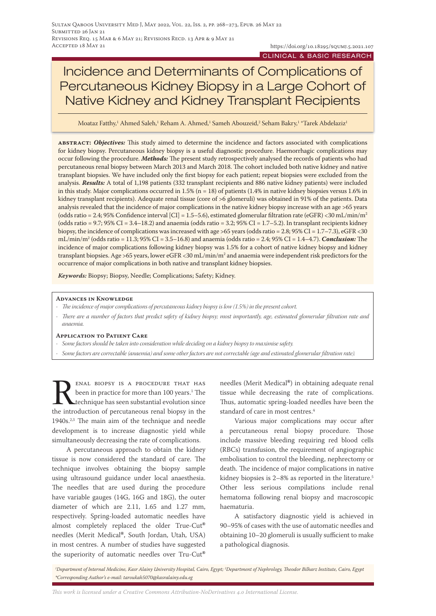# Incidence and Determinants of Complications of Percutaneous Kidney Biopsy in a Large Cohort of Native Kidney and Kidney Transplant Recipients

Moataz Fatthy,<sup>1</sup> Ahmed Saleh,<sup>1</sup> Reham A. Ahmed,<sup>1</sup> Sameh Abouzeid,<sup>2</sup> Seham Bakry,<sup>1</sup> \*Tarek Abdelaziz<sup>1</sup>

**abstract:** *Objectives:* This study aimed to determine the incidence and factors associated with complications for kidney biopsy. Percutaneous kidney biopsy is a useful diagnostic procedure. Haemorrhagic complications may occur following the procedure. *Methods:* The present study retrospectively analysed the records of patients who had percutaneous renal biopsy between March 2013 and March 2018. The cohort included both native kidney and native transplant biopsies. We have included only the first biopsy for each patient; repeat biopsies were excluded from the analysis. *Results:* A total of 1,198 patients (332 transplant recipients and 886 native kidney patients) were included in this study. Major complications occurred in  $1.5\%$  (n = 18) of patients (1.4% in native kidney biopsies versus 1.6% in kidney transplant recipients). Adequate renal tissue (core of >6 glomeruli) was obtained in 91% of the patients. Data analysis revealed that the incidence of major complications in the native kidney biopsy increase with an age >65 years (odds ratio = 2.4; 95% Confidence interval [CI] = 1.5–5.6), estimated glomerular filtration rate (eGFR) <30 mL/min/m<sup>2</sup> (odds ratio =  $9.7$ ;  $95\%$  CI =  $3.4-18.2$ ) and anaemia (odds ratio =  $3.2$ ;  $95\%$  CI =  $1.7-5.2$ ). In transplant recipients kidney biopsy, the incidence of complications was increased with age >65 years (odds ratio = 2.8; 95% CI = 1.7–7.3), eGFR <30 mL/min/m2 (odds ratio = 11.3; 95% CI = 3.5–16.8) and anaemia (odds ratio = 2.4; 95% CI = 1.4–4.7). *Conclusion:* The incidence of major complications following kidney biopsy was 1.5% for a cohort of native kidney biopsy and kidney transplant biopsies. Age >65 years, lower eGFR <30 mL/min/m2 and anaemia were independent risk predictors for the occurrence of major complications in both native and transplant kidney biopsies.

*Keywords:* Biopsy; Biopsy, Needle; Complications; Safety; Kidney.

## **Advances in Knowledge**

- *- The incidence of major complications of percutaneous kidney biopsy is low (1.5%) in the present cohort.*
- *- There are a number of factors that predict safety of kidney biopsy; most importantly, age, estimated glomerular filtration rate and anaemia.*

## **Application to Patient Care**

- *- Some factors should be taken into consideration while deciding on a kidney biopsy to maximise safety.*
- *- Some factors are correctable (anaemia) and some other factors are not correctable (age and estimated glomerular filtration rate).*

**RENAL BIOPSY IS A PROCEDURE THAT HAS**<br>been in practice for more than 100 years.<sup>1</sup> The<br>technique has seen substantial evolution since<br>the introduction of percutaneous renal biopsy in the been in practice for more than 100 years.<sup>1</sup> The technique has seen substantial evolution since the introduction of percutaneous renal biopsy in the 1940s.<sup>2,3</sup> The main aim of the technique and needle development is to increase diagnostic yield while simultaneously decreasing the rate of complications.

A percutaneous approach to obtain the kidney tissue is now considered the standard of care. The technique involves obtaining the biopsy sample using ultrasound guidance under local anaesthesia. The needles that are used during the procedure have variable gauges (14G, 16G and 18G), the outer diameter of which are 2.11, 1.65 and 1.27 mm, respectively. Spring-loaded automatic needles have almost completely replaced the older True-Cut**®** needles (Merit Medical**®**, South Jordan, Utah, USA) in most centres. A number of studies have suggested the superiority of automatic needles over Tru-Cut**®**

needles (Merit Medical**®**) in obtaining adequate renal tissue while decreasing the rate of complications. Thus, automatic spring-loaded needles have been the standard of care in most centres.<sup>4</sup>

Various major complications may occur after a percutaneous renal biopsy procedure. Those include massive bleeding requiring red blood cells (RBCs) transfusion, the requirement of angiographic embolisation to control the bleeding, nephrectomy or death. The incidence of major complications in native kidney biopsies is 2–8% as reported in the literature.<sup>5</sup> Other less serious compilations include renal hematoma following renal biopsy and macroscopic haematuria.

A satisfactory diagnostic yield is achieved in 90–95% of cases with the use of automatic needles and obtaining 10–20 glomeruli is usually sufficient to make a pathological diagnosis.

*1 Department of Internal Medicine, Kasr Alainy University Hospital, Cairo, Egypt; 2 Department of Nephrology, Theodor Bilharz Institute, Cairo, Egypt \*Corresponding Author's e-mail: taroukah5070@kasralainy.edu.eg*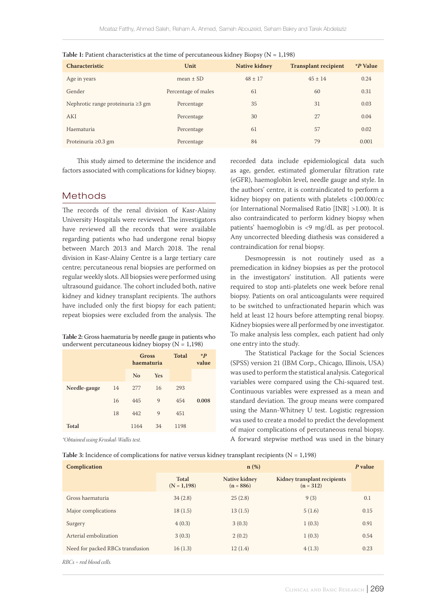| <b>Characteristic</b>                   | Unit                | <b>Native kidney</b> | <b>Transplant recipient</b> | *P Value |
|-----------------------------------------|---------------------|----------------------|-----------------------------|----------|
| Age in years                            | $mean + SD$         | $48 + 17$            | $45 + 14$                   | 0.24     |
| Gender                                  | Percentage of males | 61                   | 60                          | 0.31     |
| Nephrotic range proteinuria $\geq 3$ gm | Percentage          | 35                   | 31                          | 0.03     |
| <b>AKI</b>                              | Percentage          | 30                   | 27                          | 0.04     |
| Haematuria                              | Percentage          | 61                   | 57                          | 0.02     |
| Proteinuria $\geq 0.3$ gm               | Percentage          | 84                   | 79                          | 0.001    |

| Table 1: Patient characteristics at the time of percutaneous kidney Biopsy ( $N = 1,198$ ) |  |
|--------------------------------------------------------------------------------------------|--|
|--------------------------------------------------------------------------------------------|--|

This study aimed to determine the incidence and factors associated with complications for kidney biopsy.

# Methods

The records of the renal division of Kasr-Alainy University Hospitals were reviewed. The investigators have reviewed all the records that were available regarding patients who had undergone renal biopsy between March 2013 and March 2018. The renal division in Kasr-Alainy Centre is a large tertiary care centre; percutaneous renal biopsies are performed on regular weekly slots. All biopsies were performed using ultrasound guidance. The cohort included both, native kidney and kidney transplant recipients. The authors have included only the first biopsy for each patient; repeat biopsies were excluded from the analysis. The

**Table 2:** Gross haematuria by needle gauge in patients who underwent percutaneous kidney biopsy ( $N = 1,198$ )

|              |    | <b>Gross</b><br>haematuria |            | <b>Total</b> | $\boldsymbol{P}$<br>value |
|--------------|----|----------------------------|------------|--------------|---------------------------|
|              |    | N <sub>0</sub>             | <b>Yes</b> |              |                           |
| Needle-gauge | 14 | 277                        | 16         | 293          |                           |
|              | 16 | 445                        | 9          | 454          | 0.008                     |
|              | 18 | 442                        | 9          | 451          |                           |
| <b>Total</b> |    | 1164                       | 34         | 1198         |                           |

*\*Obtained using Kruskal-Wallis test.*

recorded data include epidemiological data such as age, gender, estimated glomerular filtration rate (eGFR), haemoglobin level, needle gauge and style. In the authors' centre, it is contraindicated to perform a kidney biopsy on patients with platelets <100.000/cc (or International Normalised Ratio [INR] >1.00). It is also contraindicated to perform kidney biopsy when patients' haemoglobin is <9 mg/dL as per protocol. Any uncorrected bleeding diathesis was considered a contraindication for renal biopsy.

Desmopressin is not routinely used as a premedication in kidney biopsies as per the protocol in the investigators' institution. All patients were required to stop anti-platelets one week before renal biopsy. Patients on oral anticoagulants were required to be switched to unfractionated heparin which was held at least 12 hours before attempting renal biopsy. Kidney biopsies were all performed by one investigator. To make analysis less complex, each patient had only one entry into the study.

The Statistical Package for the Social Sciences (SPSS) version 21 (IBM Corp., Chicago, Illinois, USA) was used to perform the statistical analysis. Categorical variables were compared using the Chi-squared test. Continuous variables were expressed as a mean and standard deviation. The group means were compared using the Mann-Whitney U test. Logistic regression was used to create a model to predict the development of major complications of percutaneous renal biopsy. A forward stepwise method was used in the binary

| Table 3: Incidence of complications for native versus kidney transplant recipients ( $N = 1,198$ ) |  |  |
|----------------------------------------------------------------------------------------------------|--|--|
|----------------------------------------------------------------------------------------------------|--|--|

| Complication                     | $n$ (%)                       |                              |                                             |      |
|----------------------------------|-------------------------------|------------------------------|---------------------------------------------|------|
|                                  | <b>Total</b><br>$(N = 1,198)$ | Native kidney<br>$(n = 886)$ | Kidney transplant recipients<br>$(n = 312)$ |      |
| Gross haematuria                 | 34(2.8)                       | 25(2.8)                      | 9(3)                                        | 0.1  |
| Major complications              | 18(1.5)                       | 13(1.5)                      | 5(1.6)                                      | 0.15 |
| Surgery                          | 4(0.3)                        | 3(0.3)                       | 1(0.3)                                      | 0.91 |
| Arterial embolization            | 3(0.3)                        | 2(0.2)                       | 1(0.3)                                      | 0.54 |
| Need for packed RBCs transfusion | 16(1.3)                       | 12(1.4)                      | 4(1.3)                                      | 0.23 |
| RBCs = red blood cells.          |                               |                              |                                             |      |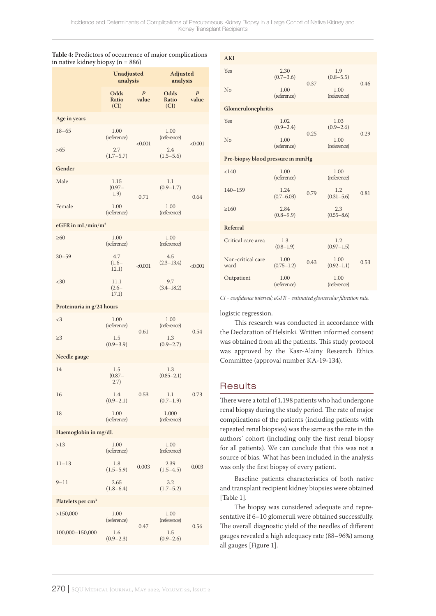|                               | <b>Unadjusted</b><br>analysis |                           | Adjusted<br>analysis  |                           |  |  |
|-------------------------------|-------------------------------|---------------------------|-----------------------|---------------------------|--|--|
|                               | Odds<br>Ratio<br>(CI)         | $\boldsymbol{P}$<br>value | Odds<br>Ratio<br>(Cl) | $\boldsymbol{P}$<br>value |  |  |
| Age in years                  |                               |                           |                       |                           |  |  |
| $18 - 65$                     | 1.00<br>(reference)           | < 0.001                   | 1.00<br>(reference)   | < 0.001                   |  |  |
| >65                           | 2.7<br>$(1.7 - 5.7)$          |                           | 2.4<br>$(1.5 - 5.6)$  |                           |  |  |
| Gender                        |                               |                           |                       |                           |  |  |
| Male                          | 1.15<br>$(0.97 -$<br>1.9)     | 0.71                      | 1.1<br>$(0.9 - 1.7)$  | 0.64                      |  |  |
| Female                        | 1.00<br>(reference)           |                           | 1.00<br>(reference)   |                           |  |  |
| eGFR in $mL/min/m2$           |                               |                           |                       |                           |  |  |
| $\geq 60$                     | 1.00<br>(reference)           |                           | 1.00<br>(reference)   |                           |  |  |
| $30 - 59$                     | 4.7<br>$(1.6 -$<br>12.1)      | < 0.001                   | 4.5<br>$(2.3 - 13.4)$ | < 0.001                   |  |  |
| $30$                          | 11.1<br>$(2.6 -$<br>17.1)     |                           | 9.7<br>$(3.4 - 18.2)$ |                           |  |  |
| Proteinuria in g/24 hours     |                               |                           |                       |                           |  |  |
| $\langle 3$                   | 1.00<br>(reference)           | 0.61                      | 1.00<br>(reference)   | 0.54                      |  |  |
| $\geq$ 3                      | 1.5<br>$(0.9 - 3.9)$          |                           | 1.3<br>$(0.9 - 2.7)$  |                           |  |  |
| Needle gauge                  |                               |                           |                       |                           |  |  |
| 14                            | 1.5<br>$(0.87 -$<br>(2.7)     |                           | 1.3<br>$(0.85 - 2.1)$ |                           |  |  |
| 16                            | 1.4<br>$(0.9 - 2.1)$          | 0.53                      | 1.1<br>$(0.7-1.9)$    | 0.73                      |  |  |
| 18                            | 1.00<br>(reference)           |                           | 1.000<br>(reference)  |                           |  |  |
| Haemoglobin in mg/dL          |                               |                           |                       |                           |  |  |
| >13                           | 1.00<br>(reference)           |                           | 1.00<br>(reference)   |                           |  |  |
| $11 - 13$                     | 1.8<br>$(1.5 - 5.9)$          | 0.003                     | 2.39<br>$(1.5 - 4.5)$ | 0.003                     |  |  |
| $9 - 11$                      | 2.65<br>$(1.8 - 6.4)$         |                           | 3.2<br>$(1.7 - 5.2)$  |                           |  |  |
| Platelets per cm <sup>3</sup> |                               |                           |                       |                           |  |  |
| >150,000                      | 1.00<br>(reference)           | 0.47                      | 1.00<br>(reference)   | 0.56                      |  |  |
| 100,000-150,000               | 1.6<br>$(0.9 - 2.3)$          |                           | 1.5<br>$(0.9 - 2.6)$  |                           |  |  |

| <b>AKI</b>                        |                        |      |                        |      |
|-----------------------------------|------------------------|------|------------------------|------|
| <b>Yes</b>                        | 2.30<br>$(0.7 - 3.6)$  |      | 1.9<br>$(0.8 - 5.5)$   |      |
| No                                | 1.00<br>(reference)    | 0.37 | 1.00<br>(reference)    | 0.46 |
| Glomerulonephritis                |                        |      |                        |      |
| <b>Yes</b>                        | 1.02<br>$(0.9 - 2.4)$  | 0.25 | 1.03<br>$(0.9 - 2.6)$  | 0.29 |
| No                                | 1.00<br>(reference)    |      | 1.00<br>(reference)    |      |
| Pre-biopsy blood pressure in mmHg |                        |      |                        |      |
| < 140                             | 1.00<br>(reference)    |      | 1.00<br>(reference)    |      |
| $140 - 159$                       | 1.24<br>$(0.7 - 6.03)$ | 0.79 | 1.2.<br>$(0.31 - 5.6)$ | 0.81 |
| >160                              | 2.84<br>$(0.8 - 9.9)$  |      | 2.3<br>$(0.55 - 8.6)$  |      |
| Referral                          |                        |      |                        |      |
| Critical care area                | 1.3<br>$(0.8 - 1.9)$   |      | 1.2<br>$(0.97 - 1.5)$  |      |
| Non-critical care<br>ward         | 1.00<br>$(0.75 - 1.2)$ | 0.43 | 1.00<br>$(0.92 - 1.1)$ | 0.53 |
| Outpatient                        | 1.00<br>(reference)    |      | 1.00<br>(reference)    |      |
|                                   |                        |      |                        |      |

*CI = confidence interval; eGFR = estimated glomerular filtration rate.*

## logistic regression.

This research was conducted in accordance with the Declaration of Helsinki. Written informed consent was obtained from all the patients. This study protocol was approved by the Kasr-Alainy Research Ethics Committee (approval number KA-19-134).

# **Results**

There were a total of 1,198 patients who had undergone renal biopsy during the study period. The rate of major complications of the patients (including patients with repeated renal biopsies) was the same as the rate in the authors' cohort (including only the first renal biopsy for all patients). We can conclude that this was not a source of bias. What has been included in the analysis was only the first biopsy of every patient.

Baseline patients characteristics of both native and transplant recipient kidney biopsies were obtained [Table 1].

The biopsy was considered adequate and representative if 6–10 glomeruli were obtained successfully. The overall diagnostic yield of the needles of different gauges revealed a high adequacy rate (88–96%) among all gauges [Figure 1].

## **Table 4:** Predictors of occurrence of major complications  $\frac{1}{10}$ in  $\frac{1}{10}$  de archiepsy (n  $\frac{8}{5}$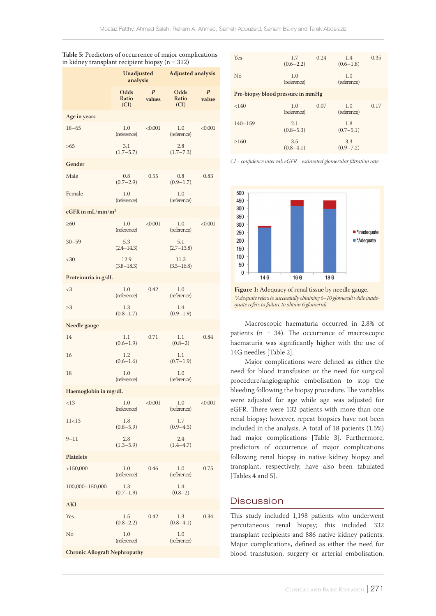|                      | Unadjusted<br>analysis |                            | <b>Adjusted analysis</b> |                           |  |
|----------------------|------------------------|----------------------------|--------------------------|---------------------------|--|
|                      | Odds<br>Ratio<br>(CI)  | $\boldsymbol{P}$<br>values | Odds<br>Ratio<br>(CI)    | $\boldsymbol{P}$<br>value |  |
| Age in years         |                        |                            |                          |                           |  |
| $18 - 65$            | 1.0<br>(reference)     | < 0.001                    | 1.0<br>(reference)       | < 0.001                   |  |
| >65                  | 3.1<br>$(1.7 - 5.7)$   |                            | 2.8<br>$(1.7 - 7.3)$     |                           |  |
| Gender               |                        |                            |                          |                           |  |
| Male                 | 0.8<br>$(0.7-2.9)$     | 0.55                       | 0.8<br>$(0.9 - 1.7)$     | 0.83                      |  |
| Female               | 1.0<br>(reference)     |                            | 1.0<br>(reference)       |                           |  |
| eGFR in $mL/min/m2$  |                        |                            |                          |                           |  |
| >60                  | 1.0<br>(reference)     | < 0.001                    | 1.0<br>(reference)       | < 0.001                   |  |
| $30 - 59$            | 5.3<br>$(2.4 - 14.3)$  |                            | 5.1<br>$(2.7-13.8)$      |                           |  |
| <30                  | 12.9<br>$(3.8 - 18.3)$ |                            | 11.3<br>$(3.5 - 16.8)$   |                           |  |
| Proteinuria in g/dL  |                        |                            |                          |                           |  |
| <3                   | 1.0<br>(reference)     | 0.42                       | 1.0<br>(reference)       |                           |  |
| $\geq$ 3             | 1.3<br>$(0.8 - 1.7)$   |                            | 1.4<br>$(0.9 - 1.9)$     |                           |  |
| Needle gauge         |                        |                            |                          |                           |  |
| 14                   | 1.1<br>$(0.6 - 1.9)$   | 0.71                       | 1.1<br>$(0.8-2)$         | 0.84                      |  |
| 16                   | 1.2<br>$(0.6 - 1.6)$   |                            | 1.1<br>$(0.7-1.9)$       |                           |  |
| 18                   | 1.0<br>(reference)     |                            | 1.0<br>(reference)       |                           |  |
| Haemoglobin in mg/dL |                        |                            |                          |                           |  |
| <13                  | $1.0\,$<br>(reference) | < 0.001                    | $1.0\,$<br>(reference)   | < 0.001                   |  |
| 11<13                | 1.8<br>$(0.8 - 5.9)$   |                            | 1.7<br>$(0.9 - 4.5)$     |                           |  |
| $9 - 11$             | 2.8<br>$(1.3 - 5.9)$   |                            | 2.4<br>$(1.4 - 4.7)$     |                           |  |
| <b>Platelets</b>     |                        |                            |                          |                           |  |
| >150,000             | 1.0<br>(reference)     | 0.46                       | 1.0<br>(reference)       | 0.75                      |  |
| 100,000-150,000      | 1.3<br>$(0.7-1.9)$     |                            | 1.4<br>$(0.8-2)$         |                           |  |
| AKI                  |                        |                            |                          |                           |  |
| Yes                  | 1.5<br>$(0.8 - 2.2)$   | 0.42                       | 1.3<br>$(0.8 - 4.1)$     | 0.34                      |  |
| No                   | 1.0<br>(reference)     |                            | 1.0<br>(reference)       |                           |  |

**Table 5:** Predictors of occurrence of major complications in kidney transplant recipient biopsy  $(n = 312)$ 

| <b>Yes</b>                        | 1.7<br>$(0.6 - 2.2)$ | 0.24 | 1.4<br>$(0.6 - 1.8)$ | 0.35 |
|-----------------------------------|----------------------|------|----------------------|------|
| No                                | 1.0<br>(reference)   |      | 1.0<br>(reference)   |      |
| Pre-biopsy blood pressure in mmHg |                      |      |                      |      |
| < 140                             | 1.0<br>(reference)   | 0.07 | 1.0<br>(reference)   | 0.17 |
| $140 - 159$                       | 2.1<br>$(0.8 - 5.3)$ |      | 1.8<br>$(0.7-5.1)$   |      |
| >160                              | 3.5<br>$(0.8-4.1)$   |      | 3.3<br>$(0.9 - 7.2)$ |      |

*CI = confidence interval; eGFR = estimated glomerular filtration rate.*



**Figure 1:** Adequacy of renal tissue by needle gauge. *\*Adequate refers to successfully obtaining 6–10 glomeruli while inadequate refers to failure to obtain 6 glomeruli.*

Macroscopic haematuria occurred in 2.8% of patients (n = 34). The occurrence of macroscopic haematuria was significantly higher with the use of 14G needles [Table 2].

Major complications were defined as either the need for blood transfusion or the need for surgical procedure/angiographic embolisation to stop the bleeding following the biopsy procedure. The variables were adjusted for age while age was adjusted for eGFR. There were 132 patients with more than one renal biopsy; however, repeat biopsies have not been included in the analysis. A total of 18 patients (1.5%) had major complications [Table 3]. Furthermore, predictors of occurrence of major complications following renal biopsy in native kidney biopsy and transplant, respectively, have also been tabulated [Tables 4 and 5].

# Discussion

This study included 1,198 patients who underwent percutaneous renal biopsy; this included 332 transplant recipients and 886 native kidney patients. Major complications, defined as either the need for blood transfusion, surgery or arterial embolisation,

**Chronic Allograft Nephropathy**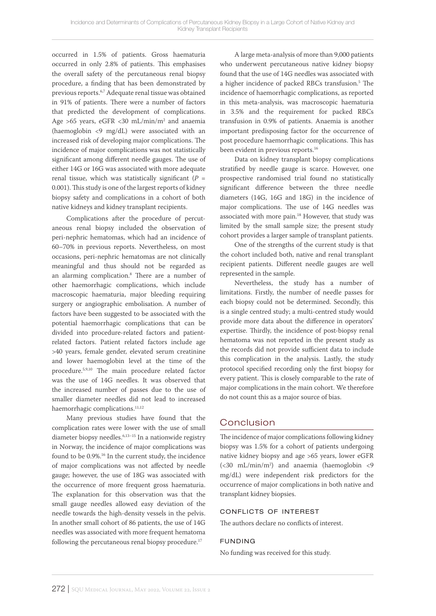occurred in 1.5% of patients. Gross haematuria occurred in only 2.8% of patients. This emphasises the overall safety of the percutaneous renal biopsy procedure, a finding that has been demonstrated by previous reports.6,7 Adequate renal tissue was obtained in 91% of patients. There were a number of factors that predicted the development of complications. Age >65 years, eGFR <30 mL/min/m2 and anaemia (haemoglobin <9 mg/dL) were associated with an increased risk of developing major complications. The incidence of major complications was not statistically significant among different needle gauges. The use of either 14G or 16G was associated with more adequate renal tissue, which was statistically significant ( $P =$ 0.001). This study is one of the largest reports of kidney biopsy safety and complications in a cohort of both native kidneys and kidney transplant recipients.

Complications after the procedure of percutaneous renal biopsy included the observation of peri-nephric hematomas, which had an incidence of 60–70% in previous reports. Nevertheless, on most occasions, peri-nephric hematomas are not clinically meaningful and thus should not be regarded as an alarming complication.8 There are a number of other haemorrhagic complications, which include macroscopic haematuria, major bleeding requiring surgery or angiographic embolisation. A number of factors have been suggested to be associated with the potential haemorrhagic complications that can be divided into procedure-related factors and patientrelated factors. Patient related factors include age >40 years, female gender, elevated serum creatinine and lower haemoglobin level at the time of the procedure.5,9,10 The main procedure related factor was the use of 14G needles. It was observed that the increased number of passes due to the use of smaller diameter needles did not lead to increased haemorrhagic complications.<sup>11,12</sup>

Many previous studies have found that the complication rates were lower with the use of small diameter biopsy needles.6,13–15 In a nationwide registry in Norway, the incidence of major complications was found to be 0.9%.16 In the current study, the incidence of major complications was not affected by needle gauge; however, the use of 18G was associated with the occurrence of more frequent gross haematuria. The explanation for this observation was that the small gauge needles allowed easy deviation of the needle towards the high-density vessels in the pelvis. In another small cohort of 86 patients, the use of 14G needles was associated with more frequent hematoma following the percutaneous renal biopsy procedure.<sup>17</sup>

A large meta-analysis of more than 9,000 patients who underwent percutaneous native kidney biopsy found that the use of 14G needles was associated with a higher incidence of packed RBCs transfusion.<sup>5</sup> The incidence of haemorrhagic complications, as reported in this meta-analysis, was macroscopic haematuria in 3.5% and the requirement for packed RBCs transfusion in 0.9% of patients. Anaemia is another important predisposing factor for the occurrence of post procedure haemorrhagic complications. This has been evident in previous reports.<sup>16</sup>

Data on kidney transplant biopsy complications stratified by needle gauge is scarce. However, one prospective randomised trial found no statistically significant difference between the three needle diameters (14G, 16G and 18G) in the incidence of major complications. The use of 14G needles was associated with more pain.<sup>18</sup> However, that study was limited by the small sample size; the present study cohort provides a larger sample of transplant patients.

One of the strengths of the current study is that the cohort included both, native and renal transplant recipient patients. Different needle gauges are well represented in the sample.

Nevertheless, the study has a number of limitations. Firstly, the number of needle passes for each biopsy could not be determined. Secondly, this is a single centred study; a multi-centred study would provide more data about the difference in operators' expertise. Thirdly, the incidence of post-biopsy renal hematoma was not reported in the present study as the records did not provide sufficient data to include this complication in the analysis. Lastly, the study protocol specified recording only the first biopsy for every patient. This is closely comparable to the rate of major complications in the main cohort. We therefore do not count this as a major source of bias.

# Conclusion

The incidence of major complications following kidney biopsy was 1.5% for a cohort of patients undergoing native kidney biopsy and age >65 years, lower eGFR (<30 mL/min/m2 ) and anaemia (haemoglobin <9 mg/dL) were independent risk predictors for the occurrence of major complications in both native and transplant kidney biopsies.

# conflicts of interest

The authors declare no conflicts of interest.

# funding

No funding was received for this study.